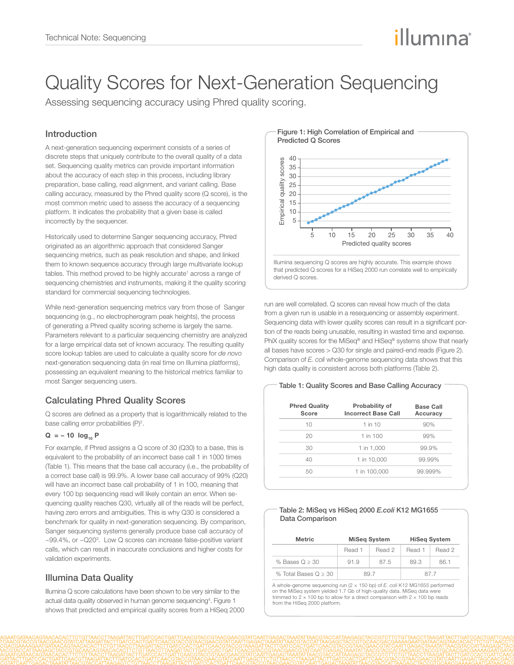# illumına

## Quality Scores for Next-Generation Sequencing

Assessing sequencing accuracy using Phred quality scoring.

## Introduction

A next-generation sequencing experiment consists of a series of discrete steps that uniquely contribute to the overall quality of a data set. Sequencing quality metrics can provide important information about the accuracy of each step in this process, including library preparation, base calling, read alignment, and variant calling. Base calling accuracy, measured by the Phred quality score (Q score), is the most common metric used to assess the accuracy of a sequencing platform. It indicates the probability that a given base is called incorrectly by the sequencer.

Historically used to determine Sanger sequencing accuracy, Phred originated as an algorithmic approach that considered Sanger sequencing metrics, such as peak resolution and shape, and linked them to known sequence accuracy through large multivariate lookup tables. This method proved to be highly accurate<sup>1</sup> across a range of sequencing chemistries and instruments, making it the quality scoring standard for commercial sequencing technologies.

While next-generation sequencing metrics vary from those of Sanger sequencing (e.g., no electropherogram peak heights), the process of generating a Phred quality scoring scheme is largely the same. Parameters relevant to a particular sequencing chemistry are analyzed for a large empirical data set of known accuracy. The resulting quality score lookup tables are used to calculate a quality score for *de novo* next-generation sequencing data (in real time on Illumina platforms), possessing an equivalent meaning to the historical metrics familiar to most Sanger sequencing users.

## Calculating Phred Quality Scores

Q scores are defined as a property that is logarithmically related to the base calling error probabilities  $(P)^2$ .

#### $Q = -10$  log<sub>10</sub> P

For example, if Phred assigns a Q score of 30 (Q30) to a base, this is equivalent to the probability of an incorrect base call 1 in 1000 times (Table 1). This means that the base call accuracy (i.e., the probability of a correct base call) is 99.9%. A lower base call accuracy of 99% (Q20) will have an incorrect base call probability of 1 in 100, meaning that every 100 bp sequencing read will likely contain an error. When sequencing quality reaches Q30, virtually all of the reads will be perfect, having zero errors and ambiguities. This is why Q30 is considered a benchmark for quality in next-generation sequencing. By comparison, Sanger sequencing systems generally produce base call accuracy of ~99.4%, or ~Q20<sup>3</sup>. Low Q scores can increase false-positive variant calls, which can result in inaccurate conclusions and higher costs for validation experiments.

## Illumina Data Quality

Illumina Q score calculations have been shown to be very similar to the actual data quality observed in human genome sequencing<sup>4</sup>. Figure 1 shows that predicted and empirical quality scores from a HiSeq 2000



Figure 1: High Correlation of Empirical and

that predicted Q scores for a HiSeq 2000 run correlate well to empirically

run are well correlated. Q scores can reveal how much of the data from a given run is usable in a resequencing or assembly experiment. Sequencing data with lower quality scores can result in a significant portion of the reads being unusable, resulting in wasted time and expense. PhiX quality scores for the MiSeq® and HiSeq® systems show that nearly all bases have scores > Q30 for single and paired-end reads (Figure 2). Comparison of *E. coli* whole-genome sequencing data shows that this high data quality is consistent across both platforms (Table 2).

#### Table 1: Quality Scores and Base Calling Accuracy

| <b>Phred Quality</b><br>Score | Probability of<br><b>Incorrect Base Call</b> | <b>Base Call</b><br>Accuracy |  |
|-------------------------------|----------------------------------------------|------------------------------|--|
| 10                            | $1$ in $10$                                  | 90%                          |  |
| 20                            | 1 in 100                                     | 99%                          |  |
| 30                            | 1 in 1,000                                   | 99.9%                        |  |
| 40                            | 1 in 10,000                                  | 99.99%                       |  |
| 50                            | 1 in 100,000                                 | 99.999%                      |  |
|                               |                                              |                              |  |

#### Table 2: MiSeq vs HiSeq 2000 *E.coli* K12 MG1655 Data Comparison

| <b>Metric</b>          | <b>MiSeg System</b> |        | <b>HiSeg System</b> |        |
|------------------------|---------------------|--------|---------------------|--------|
|                        | Read 1              | Read 2 | Read 1              | Read 2 |
| % Bases $Q > 30$       | 91.9                | 87.5   | 89.3                | 861    |
| % Total Bases $Q > 30$ | 89.7                |        | 877                 |        |

A whole-genome sequencing run (2 × 150 bp) of *E. coli* K12 MG1655 performed on the MiSeq system yielded 1.7 Gb of high-quality data. MiSeq data trimmed to  $2 \times 100$  bp to allow for a direct comparison with  $2 \times 100$  bp reads from the HiSeq 2000 platform.